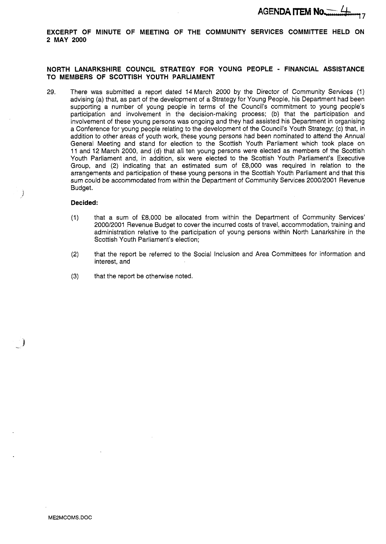**EXCERPT OF MINUTE OF MEETING OF THE COMMUNITY SERVICES COMMITTEE HELD ON 2 MAY 2000** 

### **NORTH LANARKSHIRE COUNCIL STRATEGY FOR YOUNG PEOPLE** - **FINANCIAL ASSISTANCE TO MEMBERS OF SCOTTISH YOUTH PARLIAMENT**

29. There was submitted a report dated 14 March 2000 by the Director of Community Services (1) advising (a) that, as part of the development of a Strategy for Young People, his Department had been supporting a number of young people in terms of the Council's commitment to young people's participation and involvement in the decision-making process; (b) that the participation and involvement of these young persons was ongoing and they had assisted his Department in organising a Conference for young people relating to the development of the Council's Youth Strategy; (c) that, in addition to other areas of youth work, these young persons had been nominated *to* attend the Annual General Meeting and stand for election to the Scottish Youth Parliament which took place on 11 and 12 March 2000, and (d) that all ten young persons were elected as members of the Scottish Youth Parliament and, in addition, six were elected to the Scottish Youth Parliament's Executive Group, and (2) indicating that an estimated sum of **f8,000** was required in relation to the arrangements and participation of these young persons in the Scottish Youth Parliament and that this sum could be accommodated from within the Department of Community Services 2000/2001 Revenue Budget.

#### **Decided:**

**P**  )

- (1) that a sum of *f8,000* be allocated from within the Department of Community Services' 2000/2001 Revenue Budget to cover the incurred costs of travel, accommodation, training and administration relative to the participation of young persons within North Lanarkshire in the Scottish Youth Parliament's election;
- **(2)** that the report be referred to the Social Inclusion and Area Committees for information and interest, and
- **(3)** that the report be otherwise noted.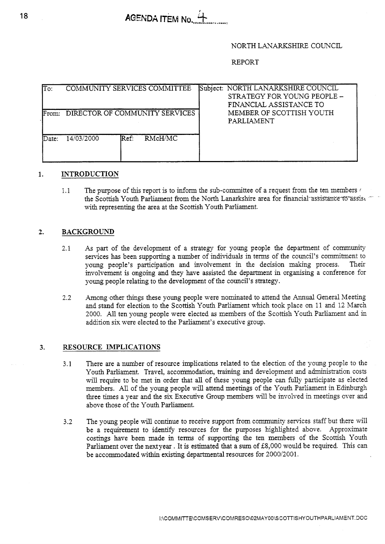# NORTH LANARKSHIRE COUNCIL

## REPORT

| $\overline{\text{To:}}$ | <b>COMMUNITY SERVICES COMMITTEE</b>       | Subject: NORTH LANARKSHIRE COUNCIL<br>STRATEGY FOR YOUNG PEOPLE -<br>FINANCIAL ASSISTANCE TO |
|-------------------------|-------------------------------------------|----------------------------------------------------------------------------------------------|
| <b>IFrom:</b>           | DIRECTOR OF COMMUNITY SERVICES            | MEMBER OF SCOTTISH YOUTH<br>PARLIAMENT                                                       |
| lDate:                  | RMcH/MC<br>14/03/2000<br>$\mathbb{R}$ ef: |                                                                                              |

# **1. INTRODUCTION**

1.1 The purpose of this report is to inform the sub-committee of a request from the ten members *<sup>r</sup>* the Scottish Youth Parliament from the North Lanarkshire area for financial assistance to assist with representing the area at the Scottish Youth Parliament.

#### **2. BACKGROUND**

- 2.1 *As* part of the development of a strategy for young people the department of community services has been supporting a number of individuals in terms of the council's commitment to young people's participation and involvement in the decision making process. Their involvement is ongoing and they have assisted the department in organising a conference for young people relating to the development of the council's strategy.
- 2.2 Among other things these young people were nominated to attend the Annual General Meeting and stand for election to the Scottish Youth Parliament which took place on 11 and 12 March 2000. All ten young people were elected **as** members of the Scottish Youth Parliament and in addition six were elected to the Parliament's executive group.

#### **3. RESOURCE IMPLICATIONS**

- 3.1 There are a number of resource implications related to the election of the young people to the Youth Parliament. Travel, accommodation, training and development and administration costs will require to be met in order that all of these young people can fully participate as elected members. **All** of the young people will attend meetings of the Youth Parliament in Edinburgh three times a year and the six Executive Group members will be involved in meetings over and above those of the Youth Parliament.
- 3.2 The young people will continue to receive support from community services staff but there will be a requirement to identify resources for the purposes highlighted above. Approximate costings have been made in terms of supporting the ten members of the Scottish Youth Parliament over the next year. It is estimated that a sum of  $£8,000$  would be required. This can be accommodated within existing departmental resources for 2000/2001.